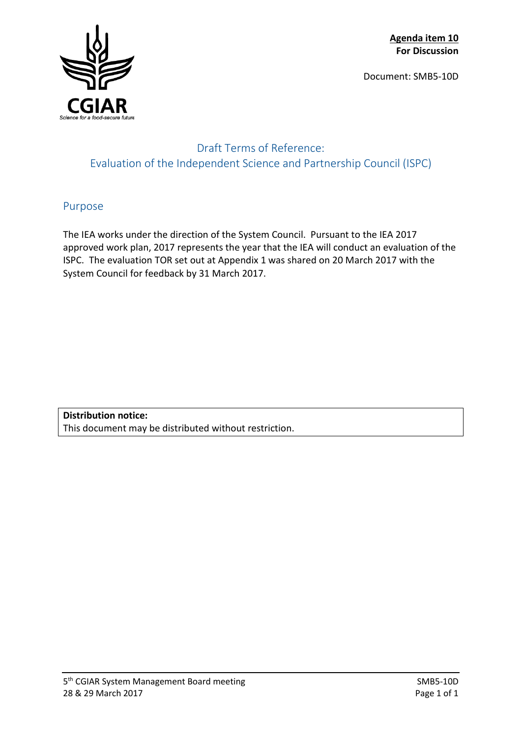**Agenda item 10 For Discussion**

Document: SMB5-10D



## Draft Terms of Reference: Evaluation of the Independent Science and Partnership Council (ISPC)

### Purpose

The IEA works under the direction of the System Council. Pursuant to the IEA 2017 approved work plan, 2017 represents the year that the IEA will conduct an evaluation of the ISPC. The evaluation TOR set out at Appendix 1 was shared on 20 March 2017 with the System Council for feedback by 31 March 2017.

**Distribution notice:** This document may be distributed without restriction.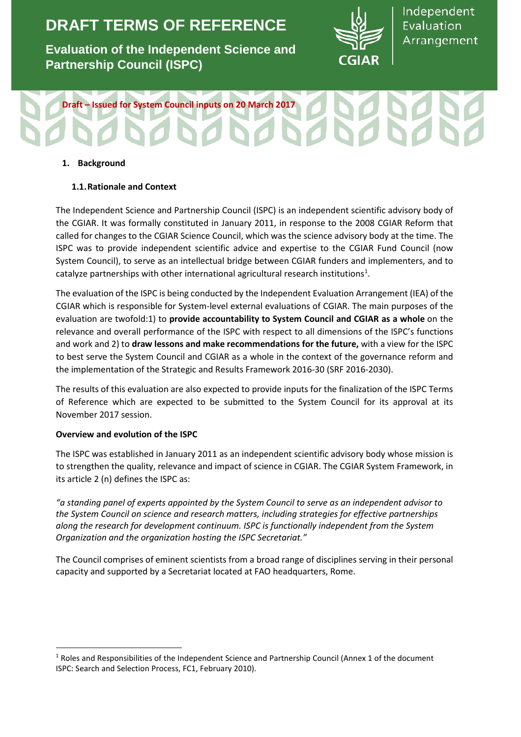# **DRAFT TERMS OF REFERENCE**

**Evaluation of the Independent Science and Partnership Council (ISPC)**



Independent Evaluation Arrangement

# **Draft – Issued for System Council inputs on 20 March 2017**

#### **1. Background**

#### **1.1.Rationale and Context**

The Independent Science and Partnership Council (ISPC) is an independent scientific advisory body of the CGIAR. It was formally constituted in January 2011, in response to the 2008 CGIAR Reform that called for changes to the CGIAR Science Council, which was the science advisory body at the time. The ISPC was to provide independent scientific advice and expertise to the CGIAR Fund Council (now System Council), to serve as an intellectual bridge between CGIAR funders and implementers, and to catalyze partnerships with other international agricultural research institutions<sup>[1](#page-1-0)</sup>.

The evaluation of the ISPC is being conducted by the Independent Evaluation Arrangement (IEA) of the CGIAR which is responsible for System-level external evaluations of CGIAR. The main purposes of the evaluation are twofold:1) to **provide accountability to System Council and CGIAR as a whole** on the relevance and overall performance of the ISPC with respect to all dimensions of the ISPC's functions and work and 2) to **draw lessons and make recommendations for the future,** with a view for the ISPC to best serve the System Council and CGIAR as a whole in the context of the governance reform and the implementation of the Strategic and Results Framework 2016-30 (SRF 2016-2030).

The results of this evaluation are also expected to provide inputs for the finalization of the ISPC Terms of Reference which are expected to be submitted to the System Council for its approval at its November 2017 session.

#### **Overview and evolution of the ISPC**

 $\overline{\phantom{a}}$ 

The ISPC was established in January 2011 as an independent scientific advisory body whose mission is to strengthen the quality, relevance and impact of science in CGIAR. The CGIAR System Framework, in its article 2 (n) defines the ISPC as:

*"a standing panel of experts appointed by the System Council to serve as an independent advisor to the System Council on science and research matters, including strategies for effective partnerships along the research for development continuum. ISPC is functionally independent from the System Organization and the organization hosting the ISPC Secretariat."*

The Council comprises of eminent scientists from a broad range of disciplines serving in their personal capacity and supported by a Secretariat located at FAO headquarters, Rome.

<span id="page-1-0"></span><sup>&</sup>lt;sup>1</sup> Roles and Responsibilities of the Independent Science and Partnership Council (Annex 1 of the document ISPC: Search and Selection Process, FC1, February 2010).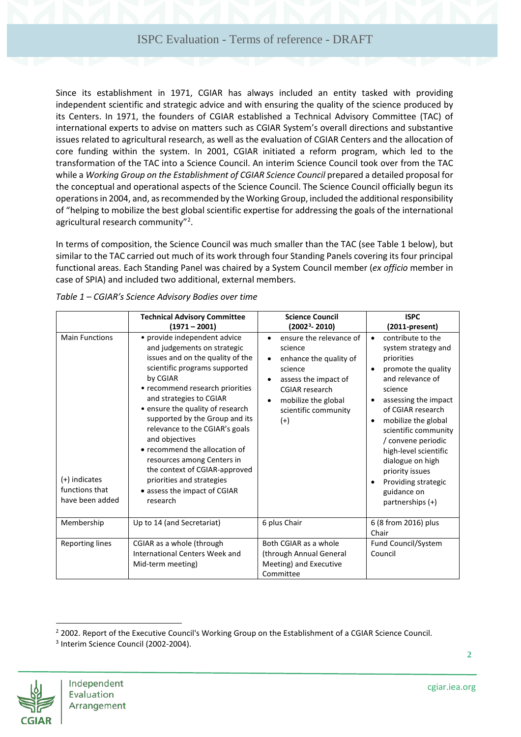Since its establishment in 1971, CGIAR has always included an entity tasked with providing independent scientific and strategic advice and with ensuring the quality of the science produced by its Centers. In 1971, the founders of CGIAR established a Technical Advisory Committee (TAC) of international experts to advise on matters such as CGIAR System's overall directions and substantive issues related to agricultural research, as well as the evaluation of CGIAR Centers and the allocation of core funding within the system. In 2001, CGIAR initiated a reform program, which led to the transformation of the TAC into a Science Council. An interim Science Council took over from the TAC while a *Working Group on the Establishment of CGIAR Science Council* prepared a detailed proposal for the conceptual and operational aspects of the Science Council. The Science Council officially begun its operations in 2004, and, as recommended by the Working Group, included the additional responsibility of "helping to mobilize the best global scientific expertise for addressing the goals of the international agricultural research community"<sup>[2](#page-2-1)</sup>.

In terms of composition, the Science Council was much smaller than the TAC (see [Table 1](#page-2-0) below), but similar to the TAC carried out much of its work through four Standing Panels covering its four principal functional areas. Each Standing Panel was chaired by a System Council member (*ex officio* member in case of SPIA) and included two additional, external members.

|                                                                             | <b>Technical Advisory Committee</b><br>(1971 – 2001)                                                                                                                                                                                                                                                                                                                                                                                                                                                          | <b>Science Council</b><br>$(20023 - 2010)$                                                                                                                                                                                      | <b>ISPC</b><br>(2011-present)                                                                                                                                                                                                                                                                                                                                                                                             |
|-----------------------------------------------------------------------------|---------------------------------------------------------------------------------------------------------------------------------------------------------------------------------------------------------------------------------------------------------------------------------------------------------------------------------------------------------------------------------------------------------------------------------------------------------------------------------------------------------------|---------------------------------------------------------------------------------------------------------------------------------------------------------------------------------------------------------------------------------|---------------------------------------------------------------------------------------------------------------------------------------------------------------------------------------------------------------------------------------------------------------------------------------------------------------------------------------------------------------------------------------------------------------------------|
| <b>Main Functions</b><br>(+) indicates<br>functions that<br>have been added | • provide independent advice<br>and judgements on strategic<br>issues and on the quality of the<br>scientific programs supported<br>by CGIAR<br>• recommend research priorities<br>and strategies to CGIAR<br>• ensure the quality of research<br>supported by the Group and its<br>relevance to the CGIAR's goals<br>and objectives<br>• recommend the allocation of<br>resources among Centers in<br>the context of CGIAR-approved<br>priorities and strategies<br>• assess the impact of CGIAR<br>research | ensure the relevance of<br>$\bullet$<br>science<br>enhance the quality of<br>$\bullet$<br>science<br>assess the impact of<br>٠<br><b>CGIAR</b> research<br>mobilize the global<br>$\bullet$<br>scientific community<br>$^{(+)}$ | contribute to the<br>$\bullet$<br>system strategy and<br>priorities<br>promote the quality<br>$\bullet$<br>and relevance of<br>science<br>assessing the impact<br>$\bullet$<br>of CGIAR research<br>mobilize the global<br>$\bullet$<br>scientific community<br>/ convene periodic<br>high-level scientific<br>dialogue on high<br>priority issues<br>Providing strategic<br>$\bullet$<br>guidance on<br>partnerships (+) |
| Membership                                                                  | Up to 14 (and Secretariat)                                                                                                                                                                                                                                                                                                                                                                                                                                                                                    | 6 plus Chair                                                                                                                                                                                                                    | 6 (8 from 2016) plus<br>Chair                                                                                                                                                                                                                                                                                                                                                                                             |
| Reporting lines                                                             | CGIAR as a whole (through<br><b>International Centers Week and</b><br>Mid-term meeting)                                                                                                                                                                                                                                                                                                                                                                                                                       | Both CGIAR as a whole<br>(through Annual General<br>Meeting) and Executive<br>Committee                                                                                                                                         | Fund Council/System<br>Council                                                                                                                                                                                                                                                                                                                                                                                            |

<span id="page-2-0"></span>*Table 1 – CGIAR's Science Advisory Bodies over time*

<span id="page-2-2"></span><span id="page-2-1"></span><sup>3</sup> Interim Science Council (2002-2004).



 $\overline{\phantom{a}}$ 

<sup>&</sup>lt;sup>2</sup> 2002. Report of the Executive Council's Working Group on the Establishment of a CGIAR Science Council.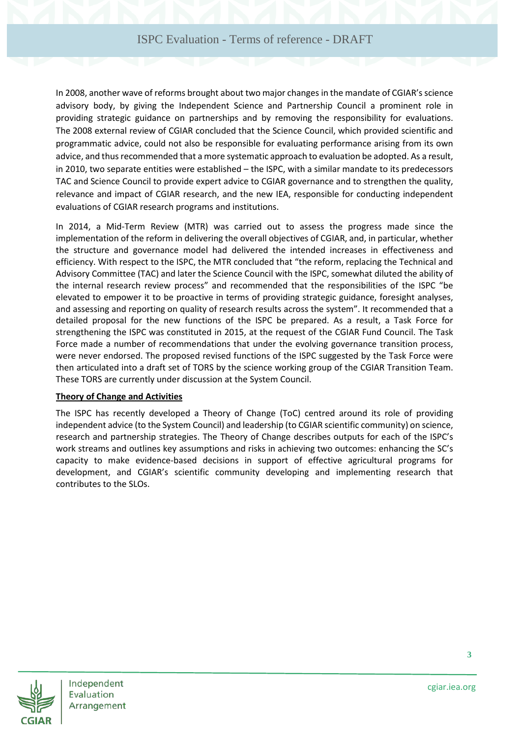In 2008, another wave of reforms brought about two major changes in the mandate of CGIAR's science advisory body, by giving the Independent Science and Partnership Council a prominent role in providing strategic guidance on partnerships and by removing the responsibility for evaluations. The 2008 external review of CGIAR concluded that the Science Council, which provided scientific and programmatic advice, could not also be responsible for evaluating performance arising from its own advice, and thus recommended that a more systematic approach to evaluation be adopted. As a result, in 2010, two separate entities were established – the ISPC, with a similar mandate to its predecessors TAC and Science Council to provide expert advice to CGIAR governance and to strengthen the quality, relevance and impact of CGIAR research, and the new IEA, responsible for conducting independent evaluations of CGIAR research programs and institutions.

In 2014, a Mid-Term Review (MTR) was carried out to assess the progress made since the implementation of the reform in delivering the overall objectives of CGIAR, and, in particular, whether the structure and governance model had delivered the intended increases in effectiveness and efficiency. With respect to the ISPC, the MTR concluded that "the reform, replacing the Technical and Advisory Committee (TAC) and later the Science Council with the ISPC, somewhat diluted the ability of the internal research review process" and recommended that the responsibilities of the ISPC "be elevated to empower it to be proactive in terms of providing strategic guidance, foresight analyses, and assessing and reporting on quality of research results across the system". It recommended that a detailed proposal for the new functions of the ISPC be prepared. As a result, a Task Force for strengthening the ISPC was constituted in 2015, at the request of the CGIAR Fund Council. The Task Force made a number of recommendations that under the evolving governance transition process, were never endorsed. The proposed revised functions of the ISPC suggested by the Task Force were then articulated into a draft set of TORS by the science working group of the CGIAR Transition Team. These TORS are currently under discussion at the System Council.

#### **Theory of Change and Activities**

The ISPC has recently developed a Theory of Change (ToC) centred around its role of providing independent advice (to the System Council) and leadership (to CGIAR scientific community) on science, research and partnership strategies. The Theory of Change describes outputs for each of the ISPC's work streams and outlines key assumptions and risks in achieving two outcomes: enhancing the SC's capacity to make evidence-based decisions in support of effective agricultural programs for development, and CGIAR's scientific community developing and implementing research that contributes to the SLOs.



Independent Evaluation Arrangement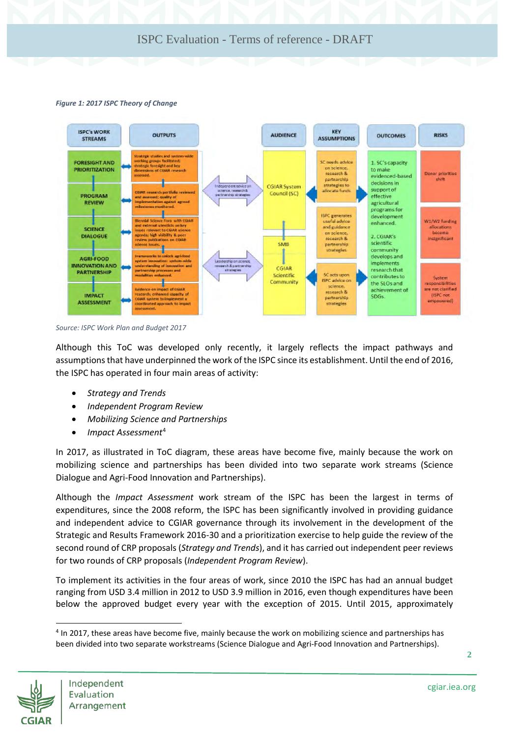#### *Figure 1: 2017 ISPC Theory of Change*



*Source: ISPC Work Plan and Budget 2017*

Although this ToC was developed only recently, it largely reflects the impact pathways and assumptions that have underpinned the work of the ISPC since its establishment. Until the end of 2016, the ISPC has operated in four main areas of activity:

- *Strategy and Trends*
- *Independent Program Review*
- *Mobilizing Science and Partnerships*
- *Impact Assessment*[4](#page-4-0)

In 2017, as illustrated in ToC diagram, these areas have become five, mainly because the work on mobilizing science and partnerships has been divided into two separate work streams (Science Dialogue and Agri-Food Innovation and Partnerships).

Although the *Impact Assessment* work stream of the ISPC has been the largest in terms of expenditures, since the 2008 reform, the ISPC has been significantly involved in providing guidance and independent advice to CGIAR governance through its involvement in the development of the Strategic and Results Framework 2016-30 and a prioritization exercise to help guide the review of the second round of CRP proposals (*Strategy and Trends*), and it has carried out independent peer reviews for two rounds of CRP proposals (*Independent Program Review*).

To implement its activities in the four areas of work, since 2010 the ISPC has had an annual budget ranging from USD 3.4 million in 2012 to USD 3.9 million in 2016, even though expenditures have been below the approved budget every year with the exception of 2015. Until 2015, approximately

<span id="page-4-0"></span><sup>&</sup>lt;sup>4</sup> In 2017, these areas have become five, mainly because the work on mobilizing science and partnerships has been divided into two separate workstreams (Science Dialogue and Agri-Food Innovation and Partnerships).



 $\overline{\phantom{a}}$ 

**2**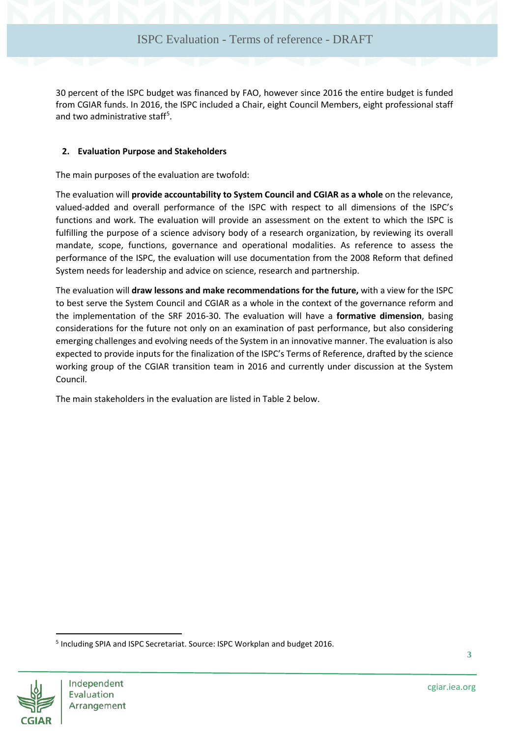30 percent of the ISPC budget was financed by FAO, however since 2016 the entire budget is funded from CGIAR funds. In 2016, the ISPC included a Chair, eight Council Members, eight professional staff and two administrative staff<sup>[5](#page-5-0)</sup>.

#### **2. Evaluation Purpose and Stakeholders**

The main purposes of the evaluation are twofold:

The evaluation will **provide accountability to System Council and CGIAR as a whole** on the relevance, valued-added and overall performance of the ISPC with respect to all dimensions of the ISPC's functions and work. The evaluation will provide an assessment on the extent to which the ISPC is fulfilling the purpose of a science advisory body of a research organization, by reviewing its overall mandate, scope, functions, governance and operational modalities. As reference to assess the performance of the ISPC, the evaluation will use documentation from the 2008 Reform that defined System needs for leadership and advice on science, research and partnership.

The evaluation will **draw lessons and make recommendations for the future,** with a view for the ISPC to best serve the System Council and CGIAR as a whole in the context of the governance reform and the implementation of the SRF 2016-30. The evaluation will have a **formative dimension**, basing considerations for the future not only on an examination of past performance, but also considering emerging challenges and evolving needs of the System in an innovative manner. The evaluation is also expected to provide inputs for the finalization of the ISPC's Terms of Reference, drafted by the science working group of the CGIAR transition team in 2016 and currently under discussion at the System Council.

<span id="page-5-1"></span>The main stakeholders in the evaluation are listed in Table 2 below.

<span id="page-5-0"></span><sup>5</sup> Including SPIA and ISPC Secretariat. Source: ISPC Workplan and budget 2016.



 $\overline{\phantom{a}}$ 

**3**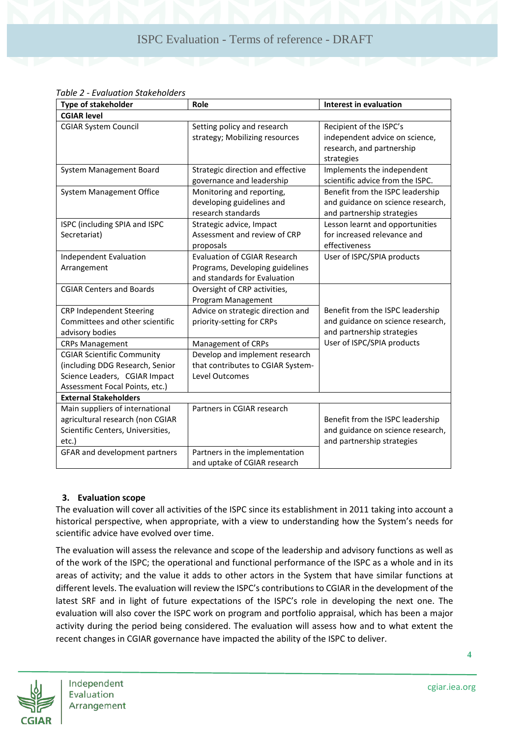| <b>Type of stakeholder</b>        | Role                              | <b>Interest in evaluation</b>     |  |  |  |  |
|-----------------------------------|-----------------------------------|-----------------------------------|--|--|--|--|
| <b>CGIAR level</b>                |                                   |                                   |  |  |  |  |
| <b>CGIAR System Council</b>       | Setting policy and research       | Recipient of the ISPC's           |  |  |  |  |
|                                   | strategy; Mobilizing resources    | independent advice on science,    |  |  |  |  |
|                                   |                                   | research, and partnership         |  |  |  |  |
|                                   |                                   | strategies                        |  |  |  |  |
| System Management Board           | Strategic direction and effective | Implements the independent        |  |  |  |  |
|                                   | governance and leadership         | scientific advice from the ISPC.  |  |  |  |  |
| <b>System Management Office</b>   | Monitoring and reporting,         | Benefit from the ISPC leadership  |  |  |  |  |
|                                   | developing guidelines and         | and guidance on science research, |  |  |  |  |
|                                   | research standards                | and partnership strategies        |  |  |  |  |
| ISPC (including SPIA and ISPC     | Strategic advice, Impact          | Lesson learnt and opportunities   |  |  |  |  |
| Secretariat)                      | Assessment and review of CRP      | for increased relevance and       |  |  |  |  |
|                                   | proposals                         | effectiveness                     |  |  |  |  |
| <b>Independent Evaluation</b>     | Evaluation of CGIAR Research      | User of ISPC/SPIA products        |  |  |  |  |
| Arrangement                       | Programs, Developing guidelines   |                                   |  |  |  |  |
|                                   | and standards for Evaluation      |                                   |  |  |  |  |
| <b>CGIAR Centers and Boards</b>   | Oversight of CRP activities,      |                                   |  |  |  |  |
|                                   | Program Management                |                                   |  |  |  |  |
| <b>CRP Independent Steering</b>   | Advice on strategic direction and | Benefit from the ISPC leadership  |  |  |  |  |
| Committees and other scientific   | priority-setting for CRPs         | and guidance on science research, |  |  |  |  |
| advisory bodies                   |                                   | and partnership strategies        |  |  |  |  |
| <b>CRPs Management</b>            | Management of CRPs                | User of ISPC/SPIA products        |  |  |  |  |
| <b>CGIAR Scientific Community</b> | Develop and implement research    |                                   |  |  |  |  |
| (including DDG Research, Senior   | that contributes to CGIAR System- |                                   |  |  |  |  |
| Science Leaders, CGIAR Impact     | Level Outcomes                    |                                   |  |  |  |  |
| Assessment Focal Points, etc.)    |                                   |                                   |  |  |  |  |
| <b>External Stakeholders</b>      |                                   |                                   |  |  |  |  |
| Main suppliers of international   | Partners in CGIAR research        |                                   |  |  |  |  |
| agricultural research (non CGIAR  |                                   | Benefit from the ISPC leadership  |  |  |  |  |
| Scientific Centers, Universities, |                                   | and guidance on science research, |  |  |  |  |
| etc.)                             |                                   | and partnership strategies        |  |  |  |  |
| GFAR and development partners     | Partners in the implementation    |                                   |  |  |  |  |
|                                   | and uptake of CGIAR research      |                                   |  |  |  |  |

#### **3. Evaluation scope**

The evaluation will cover all activities of the ISPC since its establishment in 2011 taking into account a historical perspective, when appropriate, with a view to understanding how the System's needs for scientific advice have evolved over time.

The evaluation will assess the relevance and scope of the leadership and advisory functions as well as of the work of the ISPC; the operational and functional performance of the ISPC as a whole and in its areas of activity; and the value it adds to other actors in the System that have similar functions at different levels. The evaluation will review the ISPC's contributions to CGIAR in the development of the latest SRF and in light of future expectations of the ISPC's role in developing the next one. The evaluation will also cover the ISPC work on program and portfolio appraisal, which has been a major activity during the period being considered. The evaluation will assess how and to what extent the recent changes in CGIAR governance have impacted the ability of the ISPC to deliver.



Independent Evaluation Arrangement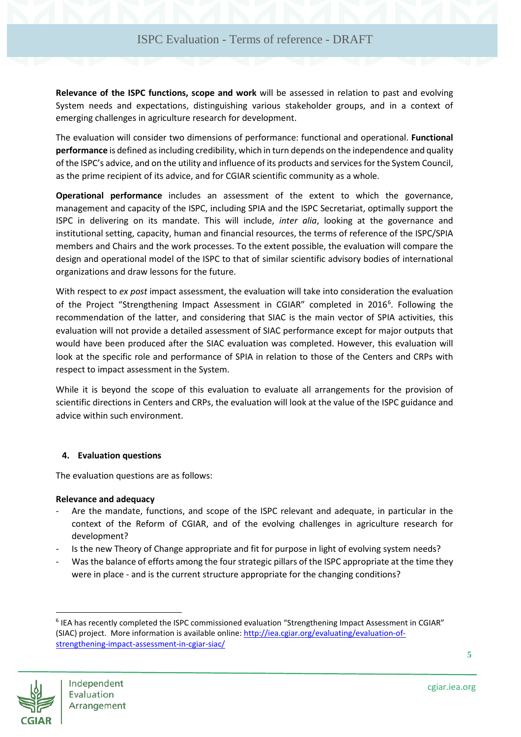**Relevance of the ISPC functions, scope and work** will be assessed in relation to past and evolving System needs and expectations, distinguishing various stakeholder groups, and in a context of emerging challenges in agriculture research for development.

The evaluation will consider two dimensions of performance: functional and operational. **Functional performance** is defined as including credibility, which in turn depends on the independence and quality of the ISPC's advice, and on the utility and influence of its products and services for the System Council, as the prime recipient of its advice, and for CGIAR scientific community as a whole.

**Operational performance** includes an assessment of the extent to which the governance, management and capacity of the ISPC, including SPIA and the ISPC Secretariat, optimally support the ISPC in delivering on its mandate. This will include, *inter alia*, looking at the governance and institutional setting, capacity, human and financial resources, the terms of reference of the ISPC/SPIA members and Chairs and the work processes. To the extent possible, the evaluation will compare the design and operational model of the ISPC to that of similar scientific advisory bodies of international organizations and draw lessons for the future.

With respect to *ex post* impact assessment, the evaluation will take into consideration the evaluation of the Project "Strengthening Impact Assessment in CGIAR" completed in 201[6](#page-7-0)<sup>6</sup>. Following the recommendation of the latter, and considering that SIAC is the main vector of SPIA activities, this evaluation will not provide a detailed assessment of SIAC performance except for major outputs that would have been produced after the SIAC evaluation was completed. However, this evaluation will look at the specific role and performance of SPIA in relation to those of the Centers and CRPs with respect to impact assessment in the System.

While it is beyond the scope of this evaluation to evaluate all arrangements for the provision of scientific directions in Centers and CRPs, the evaluation will look at the value of the ISPC guidance and advice within such environment.

#### **4. Evaluation questions**

The evaluation questions are as follows:

#### **Relevance and adequacy**

- Are the mandate, functions, and scope of the ISPC relevant and adequate, in particular in the context of the Reform of CGIAR, and of the evolving challenges in agriculture research for development?
- Is the new Theory of Change appropriate and fit for purpose in light of evolving system needs?
- Was the balance of efforts among the four strategic pillars of the ISPC appropriate at the time they were in place - and is the current structure appropriate for the changing conditions?

<span id="page-7-0"></span><sup>&</sup>lt;sup>6</sup> IEA has recently completed the ISPC commissioned evaluation "Strengthening Impact Assessment in CGIAR" (SIAC) project. More information is available online[: http://iea.cgiar.org/evaluating/evaluation-of](http://iea.cgiar.org/evaluating/evaluation-of-strengthening-impact-assessment-in-cgiar-siac/)[strengthening-impact-assessment-in-cgiar-siac/](http://iea.cgiar.org/evaluating/evaluation-of-strengthening-impact-assessment-in-cgiar-siac/) 



 $\overline{a}$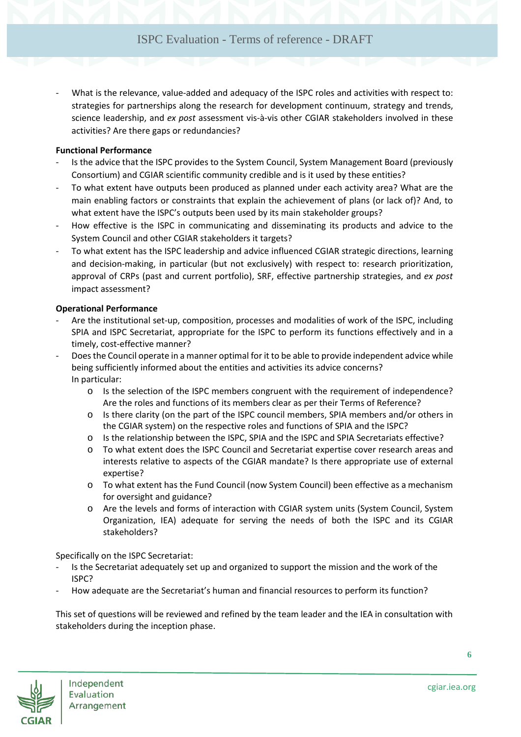What is the relevance, value-added and adequacy of the ISPC roles and activities with respect to: strategies for partnerships along the research for development continuum, strategy and trends, science leadership, and *ex post* assessment vis-à-vis other CGIAR stakeholders involved in these activities? Are there gaps or redundancies?

#### **Functional Performance**

- Is the advice that the ISPC provides to the System Council, System Management Board (previously Consortium) and CGIAR scientific community credible and is it used by these entities?
- To what extent have outputs been produced as planned under each activity area? What are the main enabling factors or constraints that explain the achievement of plans (or lack of)? And, to what extent have the ISPC's outputs been used by its main stakeholder groups?
- How effective is the ISPC in communicating and disseminating its products and advice to the System Council and other CGIAR stakeholders it targets?
- To what extent has the ISPC leadership and advice influenced CGIAR strategic directions, learning and decision-making, in particular (but not exclusively) with respect to: research prioritization, approval of CRPs (past and current portfolio), SRF, effective partnership strategies, and *ex post* impact assessment?

#### **Operational Performance**

- Are the institutional set-up, composition, processes and modalities of work of the ISPC, including SPIA and ISPC Secretariat, appropriate for the ISPC to perform its functions effectively and in a timely, cost-effective manner?
- Does the Council operate in a manner optimal for it to be able to provide independent advice while being sufficiently informed about the entities and activities its advice concerns? In particular:
	- o Is the selection of the ISPC members congruent with the requirement of independence? Are the roles and functions of its members clear as per their Terms of Reference?
	- o Is there clarity (on the part of the ISPC council members, SPIA members and/or others in the CGIAR system) on the respective roles and functions of SPIA and the ISPC?
	- o Is the relationship between the ISPC, SPIA and the ISPC and SPIA Secretariats effective?
	- o To what extent does the ISPC Council and Secretariat expertise cover research areas and interests relative to aspects of the CGIAR mandate? Is there appropriate use of external expertise?
	- o To what extent has the Fund Council (now System Council) been effective as a mechanism for oversight and guidance?
	- o Are the levels and forms of interaction with CGIAR system units (System Council, System Organization, IEA) adequate for serving the needs of both the ISPC and its CGIAR stakeholders?

Specifically on the ISPC Secretariat:

- Is the Secretariat adequately set up and organized to support the mission and the work of the ISPC?
- How adequate are the Secretariat's human and financial resources to perform its function?

This set of questions will be reviewed and refined by the team leader and the IEA in consultation with stakeholders during the inception phase.

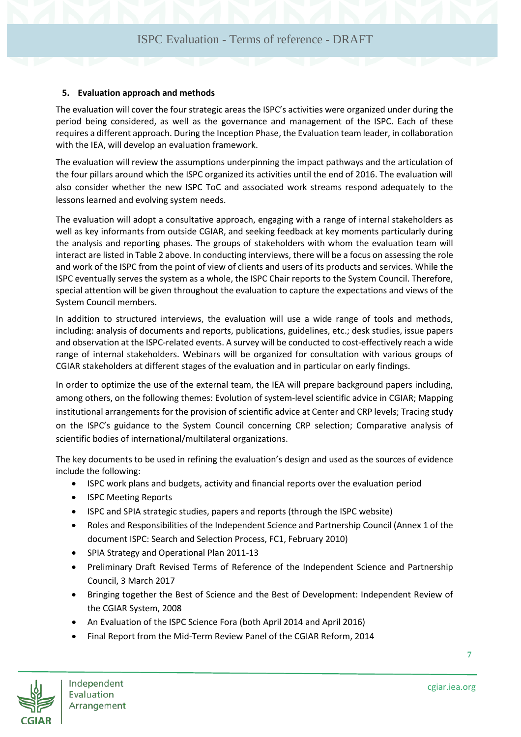#### **5. Evaluation approach and methods**

The evaluation will cover the four strategic areas the ISPC's activities were organized under during the period being considered, as well as the governance and management of the ISPC. Each of these requires a different approach. During the Inception Phase, the Evaluation team leader, in collaboration with the IEA, will develop an evaluation framework.

The evaluation will review the assumptions underpinning the impact pathways and the articulation of the four pillars around which the ISPC organized its activities until the end of 2016. The evaluation will also consider whether the new ISPC ToC and associated work streams respond adequately to the lessons learned and evolving system needs.

The evaluation will adopt a consultative approach, engaging with a range of internal stakeholders as well as key informants from outside CGIAR, and seeking feedback at key moments particularly during the analysis and reporting phases. The groups of stakeholders with whom the evaluation team will interact are listed i[n Table 2](#page-5-1) above. In conducting interviews, there will be a focus on assessing the role and work of the ISPC from the point of view of clients and users of its products and services. While the ISPC eventually serves the system as a whole, the ISPC Chair reports to the System Council. Therefore, special attention will be given throughout the evaluation to capture the expectations and views of the System Council members.

In addition to structured interviews, the evaluation will use a wide range of tools and methods, including: analysis of documents and reports, publications, guidelines, etc.; desk studies, issue papers and observation at the ISPC-related events. A survey will be conducted to cost-effectively reach a wide range of internal stakeholders. Webinars will be organized for consultation with various groups of CGIAR stakeholders at different stages of the evaluation and in particular on early findings.

In order to optimize the use of the external team, the IEA will prepare background papers including, among others, on the following themes: Evolution of system-level scientific advice in CGIAR; Mapping institutional arrangements for the provision of scientific advice at Center and CRP levels; Tracing study on the ISPC's guidance to the System Council concerning CRP selection; Comparative analysis of scientific bodies of international/multilateral organizations.

The key documents to be used in refining the evaluation's design and used as the sources of evidence include the following:

- ISPC work plans and budgets, activity and financial reports over the evaluation period
- ISPC Meeting Reports
- ISPC and SPIA strategic studies, papers and reports (through the ISPC website)
- Roles and Responsibilities of the Independent Science and Partnership Council (Annex 1 of the document ISPC: Search and Selection Process, FC1, February 2010)
- SPIA Strategy and Operational Plan 2011-13
- Preliminary Draft Revised Terms of Reference of the Independent Science and Partnership Council, 3 March 2017
- Bringing together the Best of Science and the Best of Development: Independent Review of the CGIAR System, 2008
- An Evaluation of the ISPC Science Fora (both April 2014 and April 2016)
- Final Report from the Mid-Term Review Panel of the CGIAR Reform, 2014



**7**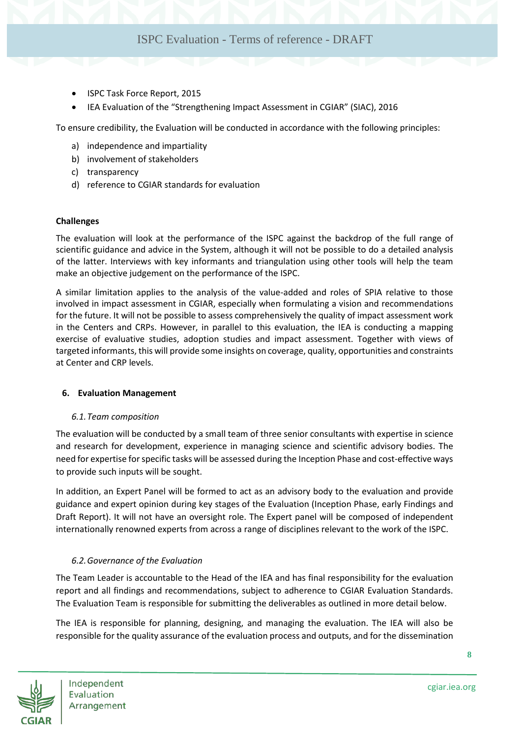- ISPC Task Force Report, 2015
- IEA Evaluation of the "Strengthening Impact Assessment in CGIAR" (SIAC), 2016

To ensure credibility, the Evaluation will be conducted in accordance with the following principles:

- a) independence and impartiality
- b) involvement of stakeholders
- c) transparency
- d) reference to CGIAR standards for evaluation

#### **Challenges**

The evaluation will look at the performance of the ISPC against the backdrop of the full range of scientific guidance and advice in the System, although it will not be possible to do a detailed analysis of the latter. Interviews with key informants and triangulation using other tools will help the team make an objective judgement on the performance of the ISPC.

A similar limitation applies to the analysis of the value-added and roles of SPIA relative to those involved in impact assessment in CGIAR, especially when formulating a vision and recommendations for the future. It will not be possible to assess comprehensively the quality of impact assessment work in the Centers and CRPs. However, in parallel to this evaluation, the IEA is conducting a mapping exercise of evaluative studies, adoption studies and impact assessment. Together with views of targeted informants, this will provide some insights on coverage, quality, opportunities and constraints at Center and CRP levels.

#### **6. Evaluation Management**

#### *6.1.Team composition*

The evaluation will be conducted by a small team of three senior consultants with expertise in science and research for development, experience in managing science and scientific advisory bodies. The need for expertise for specific tasks will be assessed during the Inception Phase and cost-effective ways to provide such inputs will be sought.

In addition, an Expert Panel will be formed to act as an advisory body to the evaluation and provide guidance and expert opinion during key stages of the Evaluation (Inception Phase, early Findings and Draft Report). It will not have an oversight role. The Expert panel will be composed of independent internationally renowned experts from across a range of disciplines relevant to the work of the ISPC.

#### *6.2.Governance of the Evaluation*

The Team Leader is accountable to the Head of the IEA and has final responsibility for the evaluation report and all findings and recommendations, subject to adherence to CGIAR Evaluation Standards. The Evaluation Team is responsible for submitting the deliverables as outlined in more detail below.

The IEA is responsible for planning, designing, and managing the evaluation. The IEA will also be responsible for the quality assurance of the evaluation process and outputs, and for the dissemination